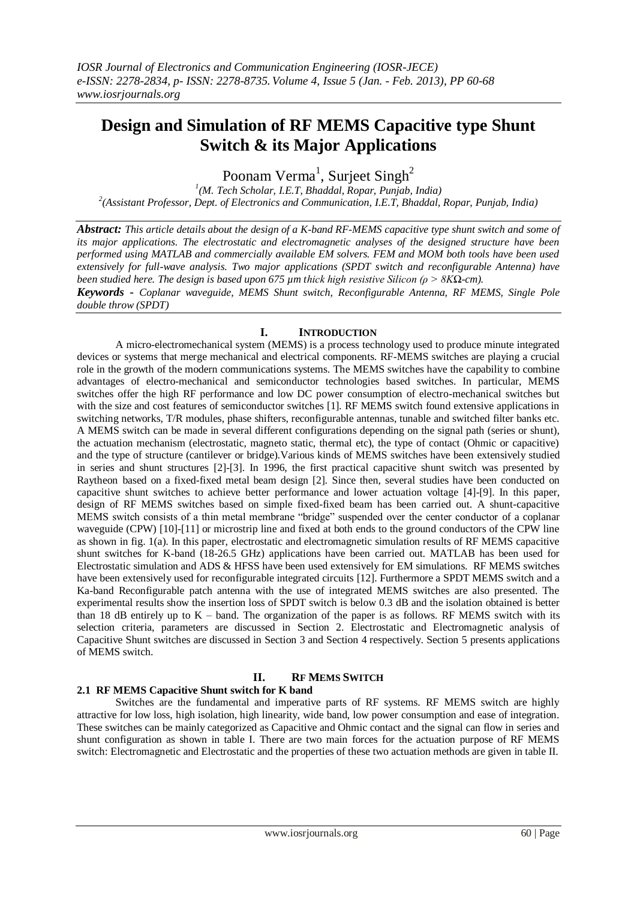# **Design and Simulation of RF MEMS Capacitive type Shunt Switch & its Major Applications**

Poonam Verma<sup>1</sup>, Surjeet Singh<sup>2</sup>

*1 (M. Tech Scholar, I.E.T, Bhaddal, Ropar, Punjab, India) 2 (Assistant Professor, Dept. of Electronics and Communication, I.E.T, Bhaddal, Ropar, Punjab, India)*

*Abstract: This article details about the design of a K-band RF-MEMS capacitive type shunt switch and some of its major applications. The electrostatic and electromagnetic analyses of the designed structure have been performed using MATLAB and commercially available EM solvers. FEM and MOM both tools have been used extensively for full-wave analysis. Two major applications (SPDT switch and reconfigurable Antenna) have been studied here. The design is based upon 675 µm thick high resistive Silicon (ρ > 8KΩ-cm).* 

*Keywords - Coplanar waveguide, MEMS Shunt switch, Reconfigurable Antenna, RF MEMS, Single Pole double throw (SPDT)*

## **I. INTRODUCTION**

A micro-electromechanical system (MEMS) is a process technology used to produce minute integrated devices or systems that merge mechanical and electrical components. RF-MEMS switches are playing a crucial role in the growth of the modern communications systems. The MEMS switches have the capability to combine advantages of electro-mechanical and semiconductor technologies based switches. In particular, MEMS switches offer the high RF performance and low DC power consumption of electro-mechanical switches but with the size and cost features of semiconductor switches [1]. RF MEMS switch found extensive applications in switching networks, T/R modules, phase shifters, reconfigurable antennas, tunable and switched filter banks etc. A MEMS switch can be made in several different configurations depending on the signal path (series or shunt), the actuation mechanism (electrostatic, magneto static, thermal etc), the type of contact (Ohmic or capacitive) and the type of structure (cantilever or bridge).Various kinds of MEMS switches have been extensively studied in series and shunt structures [2]-[3]. In 1996, the first practical capacitive shunt switch was presented by Raytheon based on a fixed-fixed metal beam design [2]. Since then, several studies have been conducted on capacitive shunt switches to achieve better performance and lower actuation voltage [4]-[9]. In this paper, design of RF MEMS switches based on simple fixed-fixed beam has been carried out. A shunt-capacitive MEMS switch consists of a thin metal membrane "bridge" suspended over the center conductor of a coplanar waveguide (CPW) [10]-[11] or microstrip line and fixed at both ends to the ground conductors of the CPW line as shown in fig. 1(a). In this paper, electrostatic and electromagnetic simulation results of RF MEMS capacitive shunt switches for K-band (18-26.5 GHz) applications have been carried out. MATLAB has been used for Electrostatic simulation and ADS & HFSS have been used extensively for EM simulations. RF MEMS switches have been extensively used for reconfigurable integrated circuits [12]. Furthermore a SPDT MEMS switch and a Ka-band Reconfigurable patch antenna with the use of integrated MEMS switches are also presented. The experimental results show the insertion loss of SPDT switch is below 0.3 dB and the isolation obtained is better than 18 dB entirely up to  $K -$  band. The organization of the paper is as follows. RF MEMS switch with its selection criteria, parameters are discussed in Section 2. Electrostatic and Electromagnetic analysis of Capacitive Shunt switches are discussed in Section 3 and Section 4 respectively. Section 5 presents applications of MEMS switch.

## **II. RF MEMS SWITCH**

## **2.1 RF MEMS Capacitive Shunt switch for K band**

Switches are the fundamental and imperative parts of RF systems. RF MEMS switch are highly attractive for low loss, high isolation, high linearity, wide band, low power consumption and ease of integration. These switches can be mainly categorized as Capacitive and Ohmic contact and the signal can flow in series and shunt configuration as shown in table I. There are two main forces for the actuation purpose of RF MEMS switch: Electromagnetic and Electrostatic and the properties of these two actuation methods are given in table II.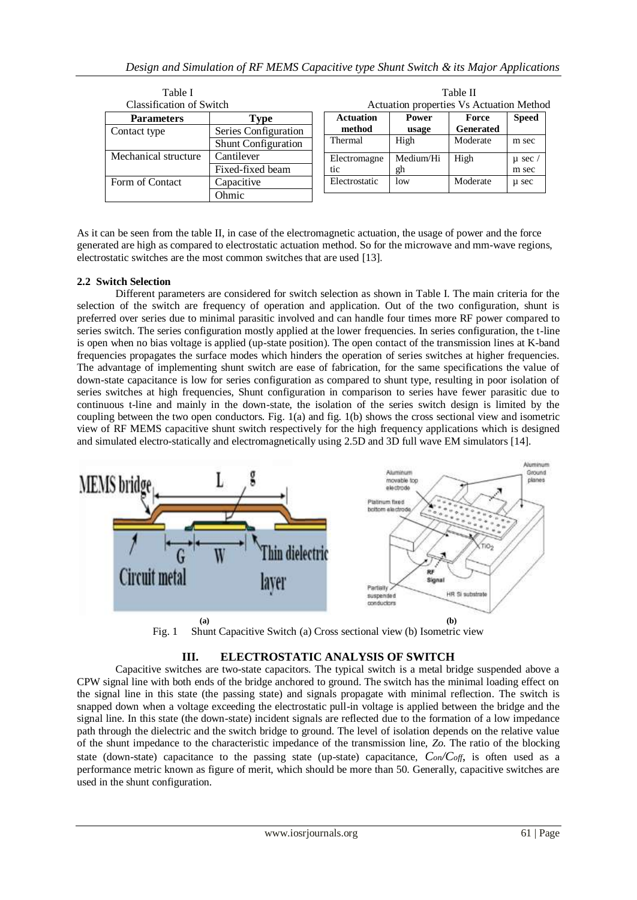| Table I                         |                            | Table II                                 |           |           |              |
|---------------------------------|----------------------------|------------------------------------------|-----------|-----------|--------------|
| <b>Classification of Switch</b> |                            | Actuation properties Vs Actuation Method |           |           |              |
| <b>Parameters</b>               | Type                       | <b>Actuation</b>                         | Power     | Force     | <b>Speed</b> |
| Contact type                    | Series Configuration       | method                                   | usage     | Generated |              |
|                                 | <b>Shunt Configuration</b> | Thermal                                  | High      | Moderate  | m sec        |
| Mechanical structure            | Cantilever                 | Electromagne                             | Medium/Hi | High      | $\mu$ sec    |
|                                 | Fixed-fixed beam           | tic                                      | gh        |           | m sec        |
| Form of Contact                 | Capacitive                 | Electrostatic                            | low       | Moderate  | u sec        |
|                                 | Ohmic                      |                                          |           |           |              |

As it can be seen from the table II, in case of the electromagnetic actuation, the usage of power and the force generated are high as compared to electrostatic actuation method. So for the microwave and mm-wave regions, electrostatic switches are the most common switches that are used [13].

## **2.2 Switch Selection**

Different parameters are considered for switch selection as shown in Table I. The main criteria for the selection of the switch are frequency of operation and application. Out of the two configuration, shunt is preferred over series due to minimal parasitic involved and can handle four times more RF power compared to series switch. The series configuration mostly applied at the lower frequencies. In series configuration, the t-line is open when no bias voltage is applied (up-state position). The open contact of the transmission lines at K-band frequencies propagates the surface modes which hinders the operation of series switches at higher frequencies. The advantage of implementing shunt switch are ease of fabrication, for the same specifications the value of down-state capacitance is low for series configuration as compared to shunt type, resulting in poor isolation of series switches at high frequencies, Shunt configuration in comparison to series have fewer parasitic due to continuous t-line and mainly in the down-state, the isolation of the series switch design is limited by the coupling between the two open conductors. Fig. 1(a) and fig. 1(b) shows the cross sectional view and isometric view of RF MEMS capacitive shunt switch respectively for the high frequency applications which is designed and simulated electro-statically and electromagnetically using 2.5D and 3D full wave EM simulators [14].





## **III. ELECTROSTATIC ANALYSIS OF SWITCH**

Capacitive switches are two-state capacitors. The typical switch is a metal bridge suspended above a CPW signal line with both ends of the bridge anchored to ground. The switch has the minimal loading effect on the signal line in this state (the passing state) and signals propagate with minimal reflection. The switch is snapped down when a voltage exceeding the electrostatic pull-in voltage is applied between the bridge and the signal line. In this state (the down-state) incident signals are reflected due to the formation of a low impedance path through the dielectric and the switch bridge to ground. The level of isolation depends on the relative value of the shunt impedance to the characteristic impedance of the transmission line, *Zo*. The ratio of the blocking state (down-state) capacitance to the passing state (up-state) capacitance, *Con/Coff*, is often used as a performance metric known as figure of merit, which should be more than 50. Generally, capacitive switches are used in the shunt configuration.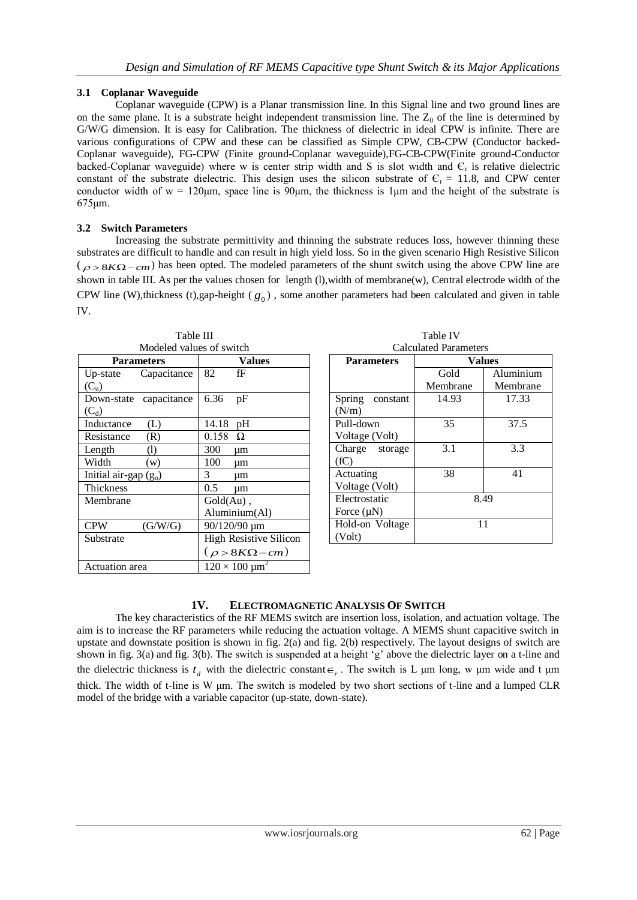## **3.1 Coplanar Waveguide**

Coplanar waveguide (CPW) is a Planar transmission line. In this Signal line and two ground lines are on the same plane. It is a substrate height independent transmission line. The  $Z_0$  of the line is determined by G/W/G dimension. It is easy for Calibration. The thickness of dielectric in ideal CPW is infinite. There are various configurations of CPW and these can be classified as Simple CPW, CB-CPW (Conductor backed-Coplanar waveguide), FG-CPW (Finite ground-Coplanar waveguide),FG-CB-CPW(Finite ground-Conductor backed-Coplanar waveguide) where w is center strip width and S is slot width and  $C_r$  is relative dielectric constant of the substrate dielectric. This design uses the silicon substrate of  $C_r = 11.8$ , and CPW center conductor width of  $w = 120 \mu m$ , space line is 90 $\mu$ m, the thickness is 1 $\mu$ m and the height of the substrate is 675μm.

## **3.2 Switch Parameters**

Increasing the substrate permittivity and thinning the substrate reduces loss, however thinning these substrates are difficult to handle and can result in high yield loss. So in the given scenario High Resistive Silicon  $(\rho > 8K\Omega - cm)$  has been opted. The modeled parameters of the shunt switch using the above CPW line are shown in table III. As per the values chosen for length (l),width of membrane(w), Central electrode width of the CPW line (W),thickness (t),gap-height ( $g_0$ ), some another parameters had been calculated and given in table IV.

| Modeled values of switch  |                                        |  |  |  |  |
|---------------------------|----------------------------------------|--|--|--|--|
| <b>Parameters</b>         | Values                                 |  |  |  |  |
| Up-state Capacitance      | 82<br>fF                               |  |  |  |  |
| $(C_u)$                   |                                        |  |  |  |  |
| Down-state<br>capacitance | 6.36<br>pF                             |  |  |  |  |
| $(C_d)$                   |                                        |  |  |  |  |
| Inductance<br>(L)         | 14.18<br>pH                            |  |  |  |  |
| Resistance<br>(R)         | $0.158$ $\Omega$                       |  |  |  |  |
| Length<br>(1)             | 300<br>um                              |  |  |  |  |
| Width<br>(w)              | 100<br>um                              |  |  |  |  |
| Initial air-gap $(g_0)$   | 3<br>um                                |  |  |  |  |
| Thickness                 | $0.5^{\circ}$<br>μm                    |  |  |  |  |
| Membrane                  | $Gold(Au)$ ,                           |  |  |  |  |
|                           | Aluminium(Al)                          |  |  |  |  |
| <b>CPW</b><br>(G/W/G)     | $90/120/90 \mu m$                      |  |  |  |  |
| Substrate                 | <b>High Resistive Silicon</b>          |  |  |  |  |
|                           | $(\rho > 8K\Omega - cm)$               |  |  |  |  |
| <b>Actuation</b> area     | $120 \times 100 \text{ }\mu\text{m}^2$ |  |  |  |  |

| Table III                |  |
|--------------------------|--|
| Aodeled values of switch |  |

| <b>Calculated Parameters</b> |               |           |  |  |  |
|------------------------------|---------------|-----------|--|--|--|
| <b>Parameters</b>            | <b>Values</b> |           |  |  |  |
|                              | Gold          | Aluminium |  |  |  |
|                              | Membrane      | Membrane  |  |  |  |
| Spring<br>constant           | 14.93         | 17.33     |  |  |  |
| (N/m)                        |               |           |  |  |  |
| Pull-down                    | 35            | 37.5      |  |  |  |
| Voltage (Volt)               |               |           |  |  |  |
| Charge storage               | 3.1           | 3.3       |  |  |  |
| (fC)                         |               |           |  |  |  |
| Actuating                    | 38            | 41        |  |  |  |
| Voltage (Volt)               |               |           |  |  |  |
| Electrostatic                | 8.49          |           |  |  |  |
| Force $(\mu N)$              |               |           |  |  |  |
| Hold-on Voltage              | 11            |           |  |  |  |
| (Volt)                       |               |           |  |  |  |

Table IV

## **1V. ELECTROMAGNETIC ANALYSIS OF SWITCH**

The key characteristics of the RF MEMS switch are insertion loss, isolation, and actuation voltage. The aim is to increase the RF parameters while reducing the actuation voltage. A MEMS shunt capacitive switch in upstate and downstate position is shown in fig. 2(a) and fig. 2(b) respectively. The layout designs of switch are shown in fig. 3(a) and fig. 3(b). The switch is suspended at a height 'g' above the dielectric layer on a t-line and the dielectric thickness is  $t_d$  with the dielectric constant  $\epsilon_r$ . The switch is L μm long, w μm wide and t μm thick. The width of t-line is W μm. The switch is modeled by two short sections of t-line and a lumped CLR model of the bridge with a variable capacitor (up-state, down-state).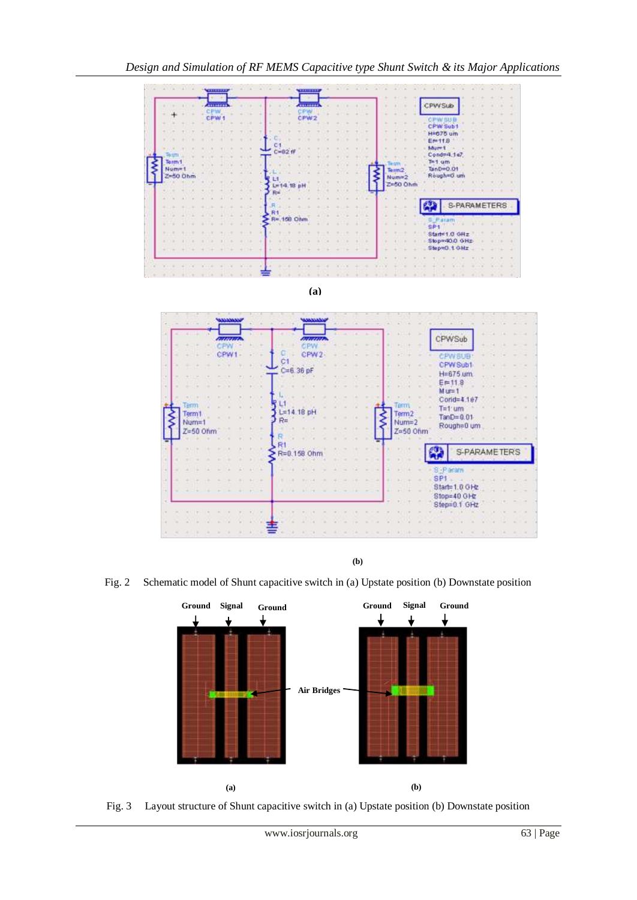

**(b)**

Fig. 2 Schematic model of Shunt capacitive switch in (a) Upstate position (b) Downstate position



Fig. 3 Layout structure of Shunt capacitive switch in (a) Upstate position (b) Downstate position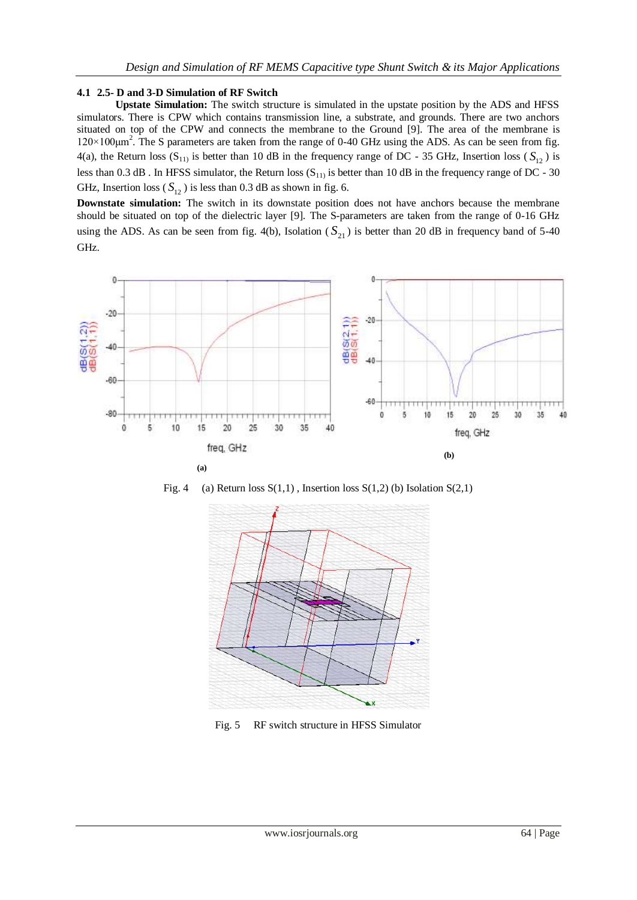#### **4.1 2.5- D and 3-D Simulation of RF Switch**

**Upstate Simulation:** The switch structure is simulated in the upstate position by the ADS and HFSS simulators. There is CPW which contains transmission line, a substrate, and grounds. There are two anchors situated on top of the CPW and connects the membrane to the Ground [9]. The area of the membrane is  $120 \times 100$ μm<sup>2</sup>. The S parameters are taken from the range of 0-40 GHz using the ADS. As can be seen from fig. 4(a), the Return loss  $(S_{11})$  is better than 10 dB in the frequency range of DC - 35 GHz, Insertion loss  $(S_{12})$  is less than 0.3 dB. In HFSS simulator, the Return loss  $(S_{11})$  is better than 10 dB in the frequency range of DC - 30 GHz, Insertion loss ( $S_{12}$ ) is less than 0.3 dB as shown in fig. 6.

**Downstate simulation:** The switch in its downstate position does not have anchors because the membrane should be situated on top of the dielectric layer [9]. The S-parameters are taken from the range of 0-16 GHz using the ADS. As can be seen from fig. 4(b), Isolation  $(S_{21})$  is better than 20 dB in frequency band of 5-40 GHz.







Fig. 5 RF switch structure in HFSS Simulator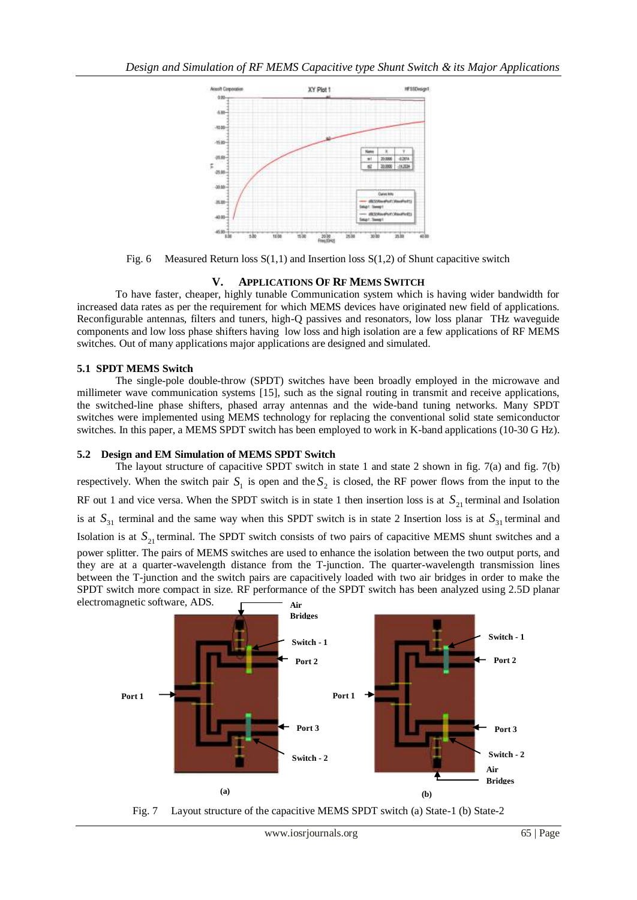

Fig. 6 Measured Return loss  $S(1,1)$  and Insertion loss  $S(1,2)$  of Shunt capacitive switch

## **V. APPLICATIONS OF RF MEMS SWITCH**

To have faster, cheaper, highly tunable Communication system which is having wider bandwidth for increased data rates as per the requirement for which MEMS devices have originated new field of applications. Reconfigurable antennas, filters and tuners, high-Q passives and resonators, low loss planar THz waveguide components and low loss phase shifters having low loss and high isolation are a few applications of RF MEMS switches. Out of many applications major applications are designed and simulated.

## **5.1 SPDT MEMS Switch**

The single-pole double-throw (SPDT) switches have been broadly employed in the microwave and millimeter wave communication systems [15], such as the signal routing in transmit and receive applications, the switched-line phase shifters, phased array antennas and the wide-band tuning networks. Many SPDT switches were implemented using MEMS technology for replacing the conventional solid state semiconductor switches. In this paper, a MEMS SPDT switch has been employed to work in K-band applications (10-30 G Hz).

## **5.2 Design and EM Simulation of MEMS SPDT Switch**

The layout structure of capacitive SPDT switch in state 1 and state 2 shown in fig. 7(a) and fig. 7(b) respectively. When the switch pair  $S_1$  is open and the  $S_2$  is closed, the RF power flows from the input to the RF out 1 and vice versa. When the SPDT switch is in state 1 then insertion loss is at  $S_{21}$  terminal and Isolation is at  $S_{31}$  terminal and the same way when this SPDT switch is in state 2 Insertion loss is at  $S_{31}$  terminal and Isolation is at  $S_{21}$  terminal. The SPDT switch consists of two pairs of capacitive MEMS shunt switches and a power splitter. The pairs of MEMS switches are used to enhance the isolation between the two output ports, and they are at a quarter-wavelength distance from the T-junction. The quarter-wavelength transmission lines between the T-junction and the switch pairs are capacitively loaded with two air bridges in order to make the SPDT switch more compact in size. RF performance of the SPDT switch has been analyzed using 2.5D planar



Fig. 7 Layout structure of the capacitive MEMS SPDT switch (a) State-1 (b) State-2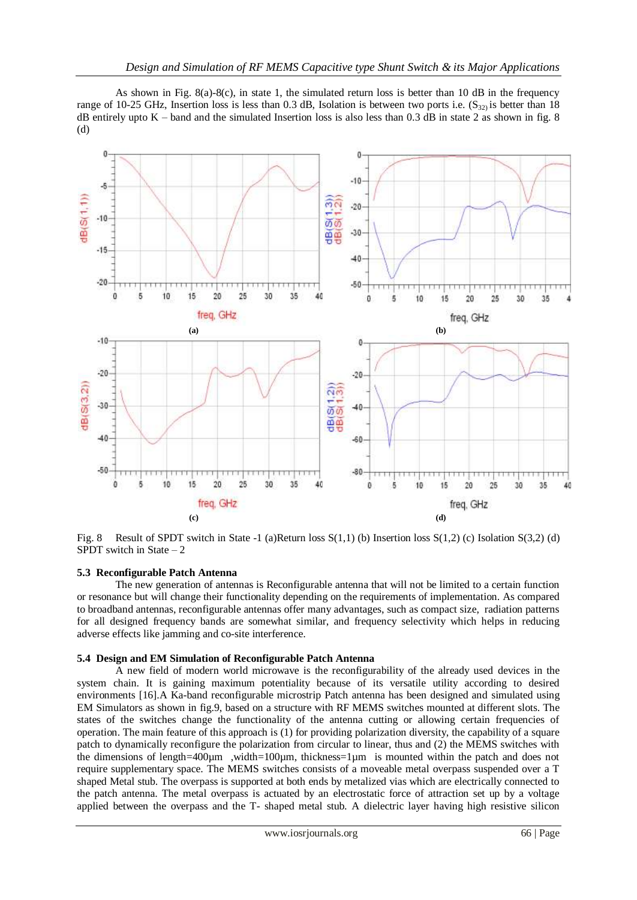As shown in Fig. 8(a)-8(c), in state 1, the simulated return loss is better than 10 dB in the frequency range of 10-25 GHz, Insertion loss is less than 0.3 dB, Isolation is between two ports i.e.  $(S_{32})$  is better than 18 dB entirely upto  $K$  – band and the simulated Insertion loss is also less than 0.3 dB in state 2 as shown in fig. 8 (d)



Fig. 8 Result of SPDT switch in State -1 (a)Return loss S(1,1) (b) Insertion loss S(1,2) (c) Isolation S(3,2) (d) SPDT switch in State  $-2$ 

#### **5.3 Reconfigurable Patch Antenna**

The new generation of antennas is Reconfigurable antenna that will not be limited to a certain function or resonance but will change their functionality depending on the requirements of implementation. As compared to broadband antennas, reconfigurable antennas offer many advantages, such as compact size, radiation patterns for all designed frequency bands are somewhat similar, and frequency selectivity which helps in reducing adverse effects like jamming and co-site interference.

#### **5.4 Design and EM Simulation of Reconfigurable Patch Antenna**

A new field of modern world microwave is the reconfigurability of the already used devices in the system chain. It is gaining maximum potentiality because of its versatile utility according to desired environments [16].A Ka-band reconfigurable microstrip Patch antenna has been designed and simulated using EM Simulators as shown in fig.9, based on a structure with RF MEMS switches mounted at different slots. The states of the switches change the functionality of the antenna cutting or allowing certain frequencies of operation. The main feature of this approach is (1) for providing polarization diversity, the capability of a square patch to dynamically reconfigure the polarization from circular to linear, thus and (2) the MEMS switches with the dimensions of length=400 $\mu$ m ,width=100 $\mu$ m, thickness=1 $\mu$ m is mounted within the patch and does not require supplementary space. The MEMS switches consists of a moveable metal overpass suspended over a T shaped Metal stub. The overpass is supported at both ends by metalized vias which are electrically connected to the patch antenna. The metal overpass is actuated by an electrostatic force of attraction set up by a voltage applied between the overpass and the T- shaped metal stub. A dielectric layer having high resistive silicon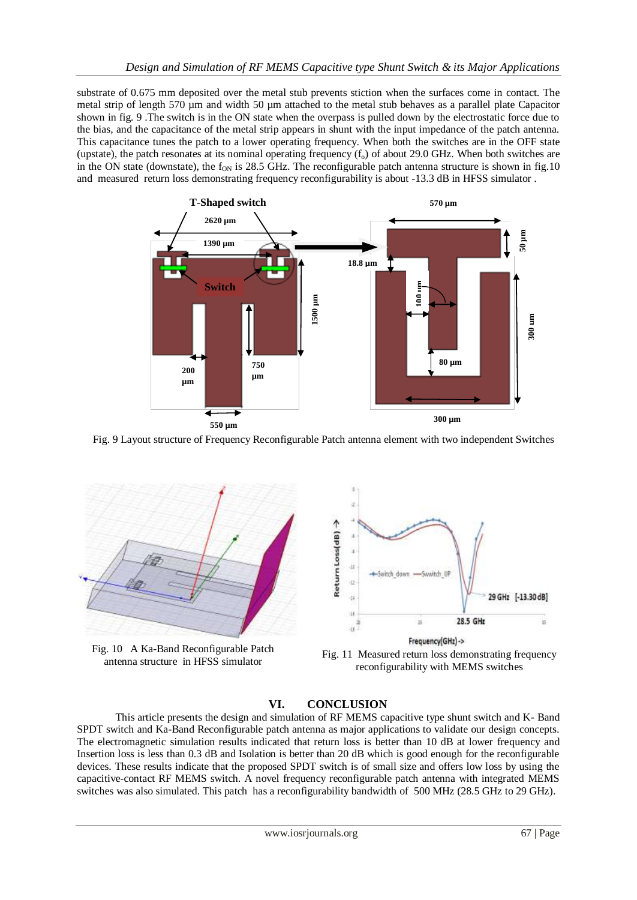substrate of 0.675 mm deposited over the metal stub prevents stiction when the surfaces come in contact. The metal strip of length 570 um and width 50 um attached to the metal stub behaves as a parallel plate Capacitor shown in fig. 9 .The switch is in the ON state when the overpass is pulled down by the electrostatic force due to the bias, and the capacitance of the metal strip appears in shunt with the input impedance of the patch antenna. This capacitance tunes the patch to a lower operating frequency. When both the switches are in the OFF state (upstate), the patch resonates at its nominal operating frequency  $(f_0)$  of about 29.0 GHz. When both switches are in the ON state (downstate), the  $f_{ON}$  is 28.5 GHz. The reconfigurable patch antenna structure is shown in fig.10 and measured return loss demonstrating frequency reconfigurability is about -13.3 dB in HFSS simulator .



Fig. 9 Layout structure of Frequency Reconfigurable Patch antenna element with two independent Switches



Fig. 10 A Ka-Band Reconfigurable Patch



antenna structure in HFSS simulator Fig. 11 Measured return loss demonstrating frequency antenna structure in HFSS simulator reconfigurability with MEMS switches

## **VI. CONCLUSION**

This article presents the design and simulation of RF MEMS capacitive type shunt switch and K- Band SPDT switch and Ka-Band Reconfigurable patch antenna as major applications to validate our design concepts. The electromagnetic simulation results indicated that return loss is better than 10 dB at lower frequency and Insertion loss is less than 0.3 dB and Isolation is better than 20 dB which is good enough for the reconfigurable devices. These results indicate that the proposed SPDT switch is of small size and offers low loss by using the capacitive-contact RF MEMS switch. A novel frequency reconfigurable patch antenna with integrated MEMS switches was also simulated. This patch has a reconfigurability bandwidth of 500 MHz (28.5 GHz to 29 GHz).